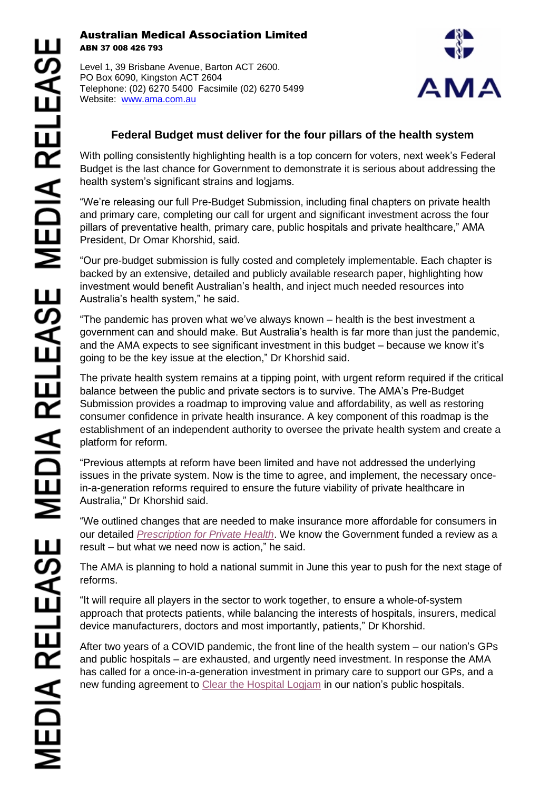## Australian Medical Association Limited ABN 37 008 426 793

Level 1, 39 Brisbane Avenue, Barton ACT 2600. PO Box 6090, Kingston ACT 2604 Telephone: (02) 6270 5400 Facsimile (02) 6270 5499 Website: [www.ama.com.au](http://www.ama.com.au/)



## **Federal Budget must deliver for the four pillars of the health system**

With polling consistently highlighting health is a top concern for voters, next week's Federal Budget is the last chance for Government to demonstrate it is serious about addressing the health system's significant strains and logjams.

"We're releasing our full Pre-Budget Submission, including final chapters on private health and primary care, completing our call for urgent and significant investment across the four pillars of preventative health, primary care, public hospitals and private healthcare," AMA President, Dr Omar Khorshid, said.

"Our pre-budget submission is fully costed and completely implementable. Each chapter is backed by an extensive, detailed and publicly available research paper, highlighting how investment would benefit Australian's health, and inject much needed resources into Australia's health system," he said.

"The pandemic has proven what we've always known – health is the best investment a government can and should make. But Australia's health is far more than just the pandemic, and the AMA expects to see significant investment in this budget – because we know it's going to be the key issue at the election," Dr Khorshid said.

The private health system remains at a tipping point, with urgent reform required if the critical balance between the public and private sectors is to survive. The AMA's Pre-Budget Submission provides a roadmap to improving value and affordability, as well as restoring consumer confidence in private health insurance. A key component of this roadmap is the establishment of an independent authority to oversee the private health system and create a platform for reform.

"Previous attempts at reform have been limited and have not addressed the underlying issues in the private system. Now is the time to agree, and implement, the necessary oncein-a-generation reforms required to ensure the future viability of private healthcare in Australia," Dr Khorshid said.

"We outlined changes that are needed to make insurance more affordable for consumers in our detailed *[Prescription for Private Health](https://www.ama.com.au/media/ama-prescription-private-health)*. We know the Government funded a review as a result – but what we need now is action," he said.

The AMA is planning to hold a national summit in June this year to push for the next stage of reforms.

"It will require all players in the sector to work together, to ensure a whole-of-system approach that protects patients, while balancing the interests of hospitals, insurers, medical device manufacturers, doctors and most importantly, patients," Dr Khorshid.

After two years of a COVID pandemic, the front line of the health system – our nation's GPs and public hospitals – are exhausted, and urgently need investment. In response the AMA has called for a once-in-a-generation investment in primary care to support our GPs, and a new funding agreement to [Clear the Hospital Logjam](http://www.hospitallogjam.com.au/) in our nation's public hospitals.